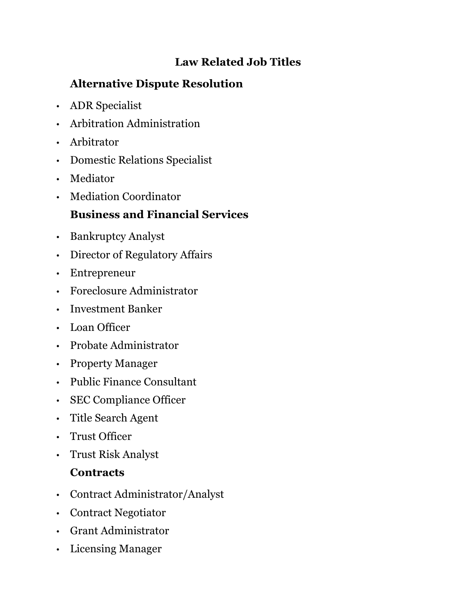#### **Law Related Job Titles**

## **Alternative Dispute Resolution**

- ADR Specialist
- Arbitration Administration
- Arbitrator
- Domestic Relations Specialist
- Mediator
- Mediation Coordinator

## **Business and Financial Services**

- Bankruptcy Analyst
- Director of Regulatory Affairs
- Entrepreneur
- Foreclosure Administrator
- Investment Banker
- Loan Officer
- Probate Administrator
- Property Manager
- Public Finance Consultant
- SEC Compliance Officer
- Title Search Agent
- Trust Officer
- Trust Risk Analyst

#### **Contracts**

- Contract Administrator/Analyst
- Contract Negotiator
- Grant Administrator
- Licensing Manager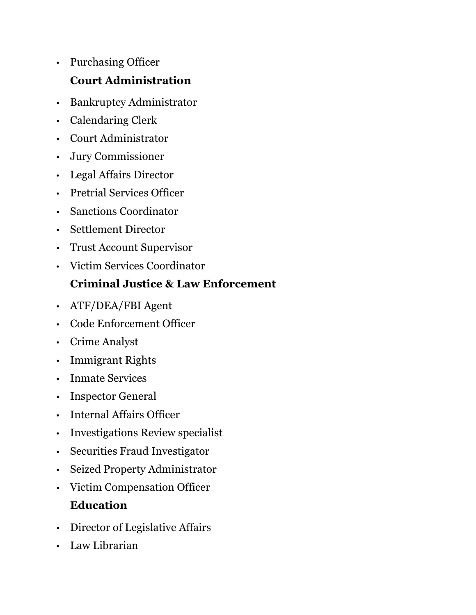- Purchasing Officer **Court Administration**
- Bankruptcy Administrator
- Calendaring Clerk
- Court Administrator
- Jury Commissioner
- Legal Affairs Director
- Pretrial Services Officer
- Sanctions Coordinator
- Settlement Director
- Trust Account Supervisor
- Victim Services Coordinator

#### **Criminal Justice & Law Enforcement**

- ATF/DEA/FBI Agent
- Code Enforcement Officer
- Crime Analyst
- Immigrant Rights
- Inmate Services
- Inspector General
- Internal Affairs Officer
- Investigations Review specialist
- Securities Fraud Investigator
- Seized Property Administrator
- Victim Compensation Officer **Education**
- Director of Legislative Affairs
- Law Librarian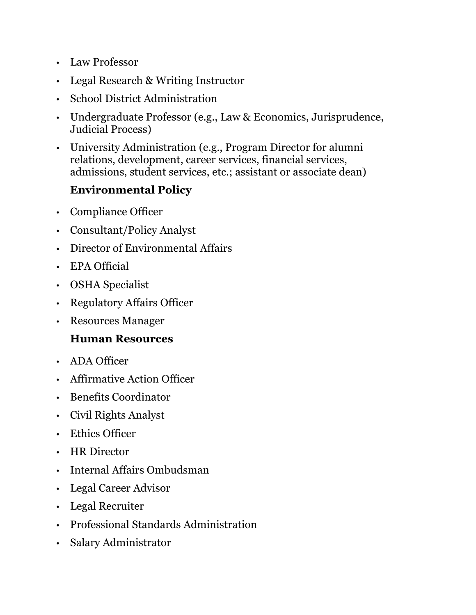- Law Professor
- Legal Research & Writing Instructor
- School District Administration
- Undergraduate Professor (e.g., Law & Economics, Jurisprudence, Judicial Process)
- University Administration (e.g., Program Director for alumni relations, development, career services, financial services, admissions, student services, etc.; assistant or associate dean)

#### **Environmental Policy**

- Compliance Officer
- Consultant/Policy Analyst
- Director of Environmental Affairs
- EPA Official
- OSHA Specialist
- Regulatory Affairs Officer
- Resources Manager

#### **Human Resources**

- ADA Officer
- Affirmative Action Officer
- Benefits Coordinator
- Civil Rights Analyst
- Ethics Officer
- HR Director
- Internal Affairs Ombudsman
- Legal Career Advisor
- Legal Recruiter
- Professional Standards Administration
- Salary Administrator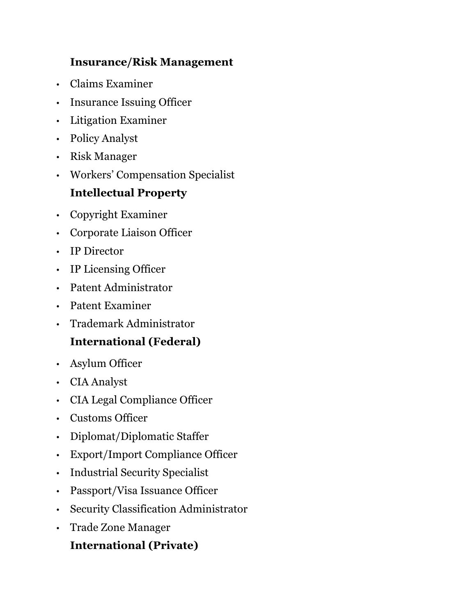#### **Insurance/Risk Management**

- Claims Examiner
- Insurance Issuing Officer
- Litigation Examiner
- Policy Analyst
- Risk Manager
- Workers' Compensation Specialist

### **Intellectual Property**

- Copyright Examiner
- Corporate Liaison Officer
- IP Director
- IP Licensing Officer
- Patent Administrator
- Patent Examiner
- Trademark Administrator

## **International (Federal)**

- Asylum Officer
- CIA Analyst
- CIA Legal Compliance Officer
- Customs Officer
- Diplomat/Diplomatic Staffer
- Export/Import Compliance Officer
- Industrial Security Specialist
- Passport/Visa Issuance Officer
- Security Classification Administrator
- Trade Zone Manager

#### **International (Private)**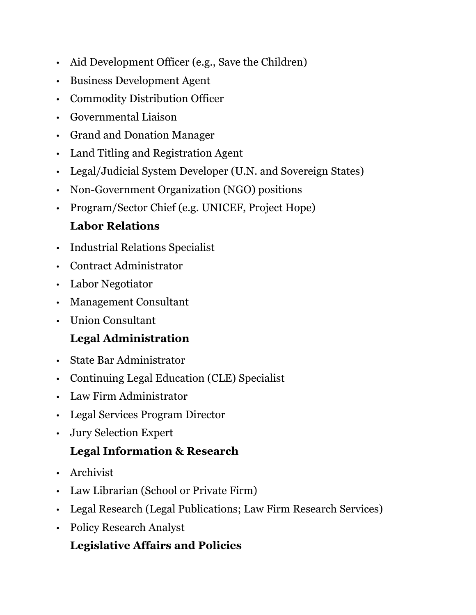- Aid Development Officer (e.g., Save the Children)
- Business Development Agent
- Commodity Distribution Officer
- Governmental Liaison
- Grand and Donation Manager
- Land Titling and Registration Agent
- Legal/Judicial System Developer (U.N. and Sovereign States)
- Non-Government Organization (NGO) positions
- Program/Sector Chief (e.g. UNICEF, Project Hope)

## **Labor Relations**

- Industrial Relations Specialist
- Contract Administrator
- Labor Negotiator
- Management Consultant
- Union Consultant

# **Legal Administration**

- State Bar Administrator
- Continuing Legal Education (CLE) Specialist
- Law Firm Administrator
- Legal Services Program Director
- Jury Selection Expert

## **Legal Information & Research**

- Archivist
- Law Librarian (School or Private Firm)
- Legal Research (Legal Publications; Law Firm Research Services)
- Policy Research Analyst

# **Legislative Affairs and Policies**